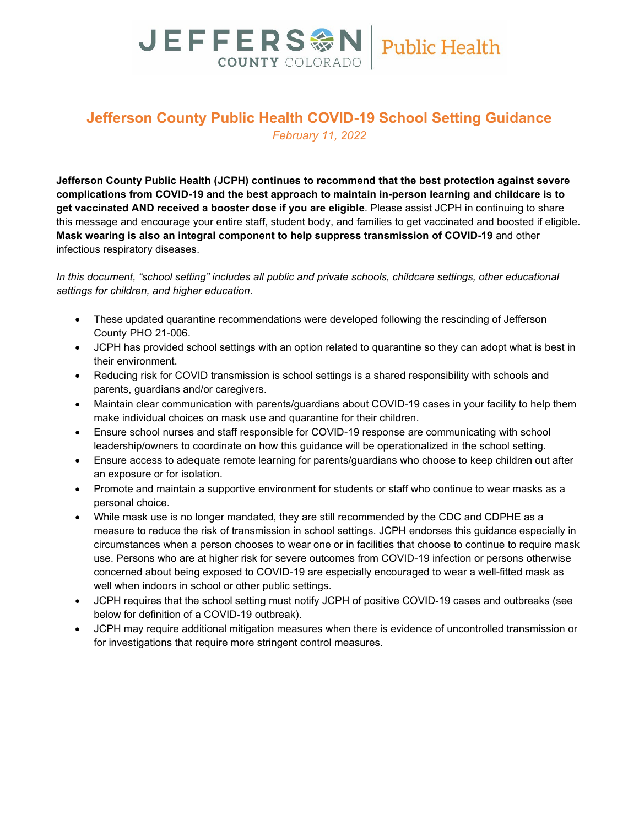# JEFFERS M Public Health **COUNTY COLORADO**

# **Jefferson County Public Health COVID-19 School Setting Guidance** *February 11, 2022*

**Jefferson County Public Health (JCPH) continues to recommend that the best protection against severe complications from COVID-19 and the best approach to maintain in-person learning and childcare is to get vaccinated AND received a booster dose if you are eligible**. Please assist JCPH in continuing to share this message and encourage your entire staff, student body, and families to get vaccinated and boosted if eligible. **Mask wearing is also an integral component to help suppress transmission of COVID-19** and other infectious respiratory diseases.

*In this document, "school setting" includes all public and private schools, childcare settings, other educational settings for children, and higher education.*

- These updated quarantine recommendations were developed following the rescinding of Jefferson County PHO 21-006.
- JCPH has provided school settings with an option related to quarantine so they can adopt what is best in their environment.
- Reducing risk for COVID transmission is school settings is a shared responsibility with schools and parents, guardians and/or caregivers.
- Maintain clear communication with parents/guardians about COVID-19 cases in your facility to help them make individual choices on mask use and quarantine for their children.
- Ensure school nurses and staff responsible for COVID-19 response are communicating with school leadership/owners to coordinate on how this guidance will be operationalized in the school setting.
- Ensure access to adequate remote learning for parents/guardians who choose to keep children out after an exposure or for isolation.
- Promote and maintain a supportive environment for students or staff who continue to wear masks as a personal choice.
- While mask use is no longer mandated, they are still recommended by the CDC and CDPHE as a measure to reduce the risk of transmission in school settings. JCPH endorses this guidance especially in circumstances when a person chooses to wear one or in facilities that choose to continue to require mask use. Persons who are at higher risk for severe outcomes from COVID-19 infection or persons otherwise concerned about being exposed to COVID-19 are especially encouraged to wear a well-fitted mask as well when indoors in school or other public settings.
- JCPH requires that the school setting must notify JCPH of positive COVID-19 cases and outbreaks (see below for definition of a COVID-19 outbreak).
- JCPH may require additional mitigation measures when there is evidence of uncontrolled transmission or for investigations that require more stringent control measures.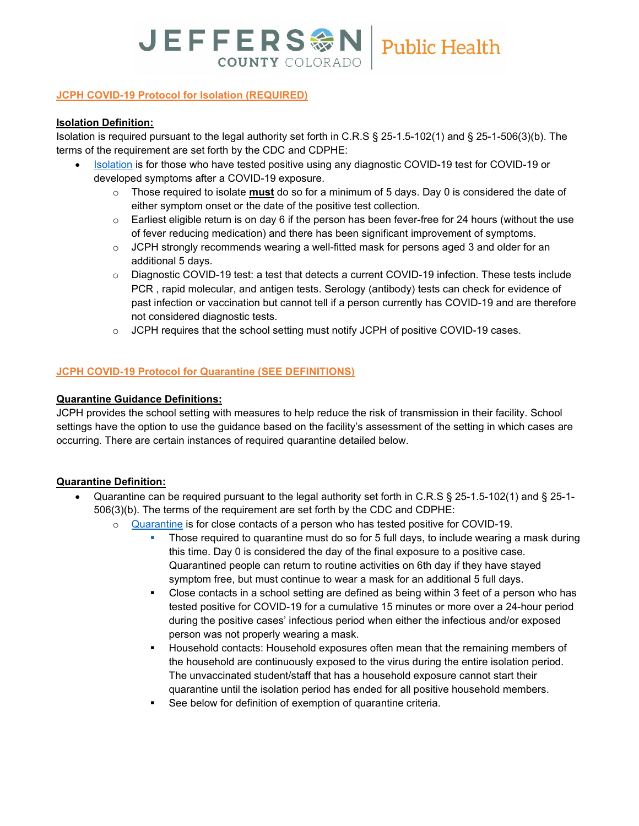# JEFFERS & N | Public Health **COUNTY COLORADO**

## **JCPH COVID-19 Protocol for Isolation (REQUIRED)**

#### **Isolation Definition:**

Isolation is required pursuant to the legal authority set forth in C.R.S § 25-1.5-102(1) and § 25-1-506(3)(b). The terms of the requirement are set forth by the CDC and CDPHE:

- [Isolation](https://pbs.twimg.com/media/FIWgxwlVEAEb0Q9.jpg) is for those who have tested positive using any diagnostic COVID-19 test for COVID-19 or developed symptoms after a COVID-19 exposure.
	- o Those required to isolate **must** do so for a minimum of 5 days. Day 0 is considered the date of either symptom onset or the date of the positive test collection.
	- $\circ$  Earliest eligible return is on day 6 if the person has been fever-free for 24 hours (without the use of fever reducing medication) and there has been significant improvement of symptoms.
	- $\circ$  JCPH strongly recommends wearing a well-fitted mask for persons aged 3 and older for an additional 5 days.
	- o Diagnostic COVID-19 test: a test that detects a current COVID-19 infection. These tests include PCR , rapid molecular, and antigen tests. Serology (antibody) tests can check for evidence of past infection or vaccination but cannot tell if a person currently has COVID-19 and are therefore not considered diagnostic tests.
	- $\circ$  JCPH requires that the school setting must notify JCPH of positive COVID-19 cases.

### **JCPH COVID-19 Protocol for Quarantine (SEE DEFINITIONS)**

### **Quarantine Guidance Definitions:**

JCPH provides the school setting with measures to help reduce the risk of transmission in their facility. School settings have the option to use the guidance based on the facility's assessment of the setting in which cases are occurring. There are certain instances of required quarantine detailed below.

### **Quarantine Definition:**

- Quarantine can be required pursuant to the legal authority set forth in C.R.S § 25-1.5-102(1) and § 25-1- 506(3)(b). The terms of the requirement are set forth by the CDC and CDPHE:
	- o [Quarantine](https://pbs.twimg.com/media/FIWgxwfVgAE6fGv.jpg) is for close contacts of a person who has tested positive for COVID-19.
		- **Those required to quarantine must do so for 5 full days, to include wearing a mask during** this time. Day 0 is considered the day of the final exposure to a positive case. Quarantined people can return to routine activities on 6th day if they have stayed symptom free, but must continue to wear a mask for an additional 5 full days.
		- Close contacts in a school setting are defined as being within 3 feet of a person who has tested positive for COVID-19 for a cumulative 15 minutes or more over a 24-hour period during the positive cases' infectious period when either the infectious and/or exposed person was not properly wearing a mask.
		- Household contacts: Household exposures often mean that the remaining members of the household are continuously exposed to the virus during the entire isolation period. The unvaccinated student/staff that has a household exposure cannot start their quarantine until the isolation period has ended for all positive household members.
		- See below for definition of exemption of quarantine criteria.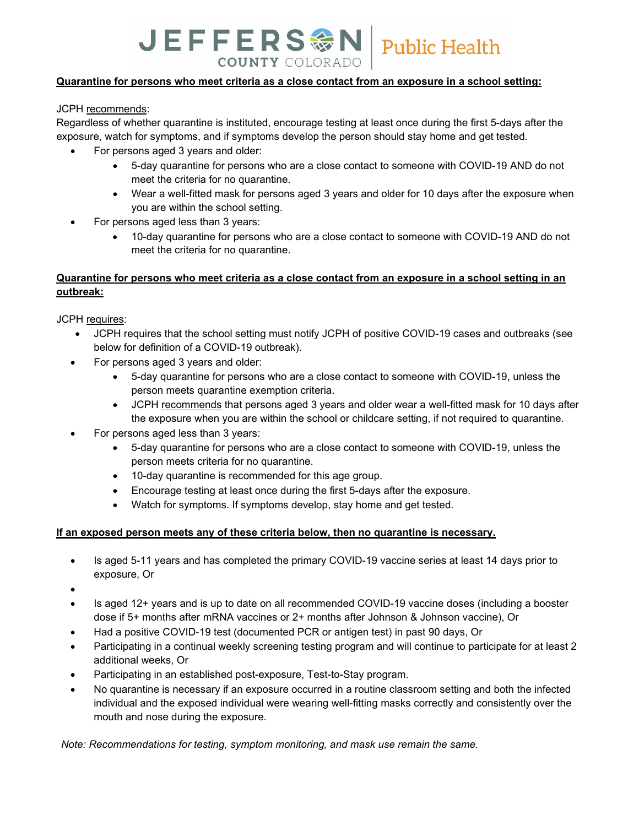# JEFFERS M Public Health **COUNTY COLORADO**

### **Quarantine for persons who meet criteria as a close contact from an exposure in a school setting:**

JCPH recommends:

Regardless of whether quarantine is instituted, encourage testing at least once during the first 5-days after the exposure, watch for symptoms, and if symptoms develop the person should stay home and get tested.

- For persons aged 3 years and older:
	- 5-day quarantine for persons who are a close contact to someone with COVID-19 AND do not meet the criteria for no quarantine.
	- Wear a well-fitted mask for persons aged 3 years and older for 10 days after the exposure when you are within the school setting.
- For persons aged less than 3 years:
	- 10-day quarantine for persons who are a close contact to someone with COVID-19 AND do not meet the criteria for no quarantine.

## **Quarantine for persons who meet criteria as a close contact from an exposure in a school setting in an outbreak:**

JCPH requires:

- JCPH requires that the school setting must notify JCPH of positive COVID-19 cases and outbreaks (see below for definition of a COVID-19 outbreak).
- For persons aged 3 years and older:
	- 5-day quarantine for persons who are a close contact to someone with COVID-19, unless the person meets quarantine exemption criteria.
	- JCPH recommends that persons aged 3 years and older wear a well-fitted mask for 10 days after the exposure when you are within the school or childcare setting, if not required to quarantine.
- For persons aged less than 3 years:
	- 5-day quarantine for persons who are a close contact to someone with COVID-19, unless the person meets criteria for no quarantine.
	- 10-day quarantine is recommended for this age group.
	- Encourage testing at least once during the first 5-days after the exposure.
	- Watch for symptoms. If symptoms develop, stay home and get tested.

### **If an exposed person meets any of these criteria below, then no quarantine is necessary.**

• Is aged 5-11 years and has completed the primary COVID-19 vaccine series at least 14 days prior to exposure, Or

•

- Is aged 12+ years and is up to date on all recommended COVID-19 vaccine doses (including a booster dose if 5+ months after mRNA vaccines or 2+ months after Johnson & Johnson vaccine), Or
- Had a positive COVID-19 test (documented PCR or antigen test) in past 90 days, Or
- Participating in a continual weekly screening testing program and will continue to participate for at least 2 additional weeks, Or
- Participating in an established post-exposure, Test-to-Stay program.
- No quarantine is necessary if an exposure occurred in a routine classroom setting and both the infected individual and the exposed individual were wearing well-fitting masks correctly and consistently over the mouth and nose during the exposure.

*Note: Recommendations for testing, symptom monitoring, and mask use remain the same.*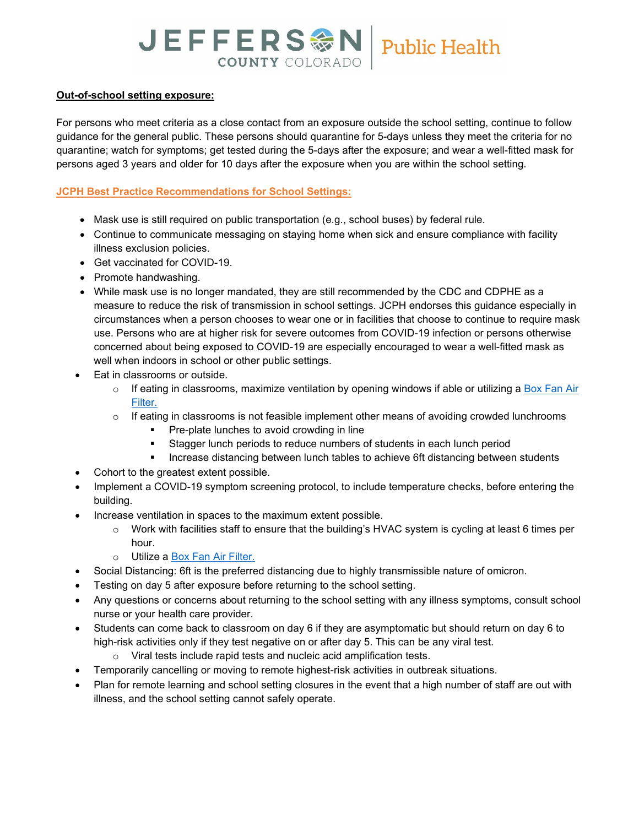# JEFFERS M Public Health **COUNTY COLORADO**

### **Out-of-school setting exposure:**

For persons who meet criteria as a close contact from an exposure outside the school setting, continue to follow guidance for the general public. These persons should quarantine for 5-days unless they meet the criteria for no quarantine; watch for symptoms; get tested during the 5-days after the exposure; and wear a well-fitted mask for persons aged 3 years and older for 10 days after the exposure when you are within the school setting.

### **JCPH Best Practice Recommendations for School Settings:**

- Mask use is still required on public transportation (e.g., school buses) by federal rule.
- Continue to communicate messaging on staying home when sick and ensure compliance with facility illness exclusion policies.
- Get vaccinated for COVID-19.
- Promote handwashing.
- While mask use is no longer mandated, they are still recommended by the CDC and CDPHE as a measure to reduce the risk of transmission in school settings. JCPH endorses this guidance especially in circumstances when a person chooses to wear one or in facilities that choose to continue to require mask use. Persons who are at higher risk for severe outcomes from COVID-19 infection or persons otherwise concerned about being exposed to COVID-19 are especially encouraged to wear a well-fitted mask as well when indoors in school or other public settings.
- Eat in classrooms or outside.
	- $\circ$  If eating in classrooms, maximize ventilation by opening windows if able or utilizing a Box Fan Air [Filter.](https://cleanaircrew.org/box-fan-filters/)
	- $\circ$  If eating in classrooms is not feasible implement other means of avoiding crowded lunchrooms
		- Pre-plate lunches to avoid crowding in line
		- Stagger lunch periods to reduce numbers of students in each lunch period
		- **Increase distancing between lunch tables to achieve 6ft distancing between students**
- Cohort to the greatest extent possible.
- Implement a COVID-19 symptom screening protocol, to include temperature checks, before entering the building.
- Increase ventilation in spaces to the maximum extent possible.
	- $\circ$  Work with facilities staff to ensure that the building's HVAC system is cycling at least 6 times per hour.
	- o Utilize a [Box Fan Air Filter.](https://cleanaircrew.org/box-fan-filters/)
- Social Distancing: 6ft is the preferred distancing due to highly transmissible nature of omicron.
- Testing on day 5 after exposure before returning to the school setting.
- Any questions or concerns about returning to the school setting with any illness symptoms, consult school nurse or your health care provider.
- Students can come back to classroom on day 6 if they are asymptomatic but should return on day 6 to high-risk activities only if they test negative on or after day 5. This can be any viral test.
	- o Viral tests include rapid tests and nucleic acid amplification tests.
- Temporarily cancelling or moving to remote highest-risk activities in outbreak situations.
- Plan for remote learning and school setting closures in the event that a high number of staff are out with illness, and the school setting cannot safely operate.